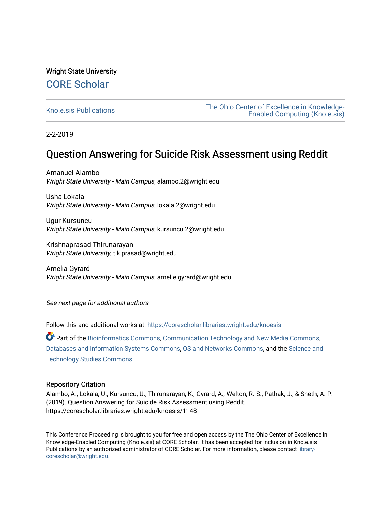# Wright State University [CORE Scholar](https://corescholar.libraries.wright.edu/)

[Kno.e.sis Publications](https://corescholar.libraries.wright.edu/knoesis) [The Ohio Center of Excellence in Knowledge-](https://corescholar.libraries.wright.edu/knoesis_comm)[Enabled Computing \(Kno.e.sis\)](https://corescholar.libraries.wright.edu/knoesis_comm) 

2-2-2019

# Question Answering for Suicide Risk Assessment using Reddit

Amanuel Alambo Wright State University - Main Campus, alambo.2@wright.edu

Usha Lokala Wright State University - Main Campus, lokala.2@wright.edu

Ugur Kursuncu Wright State University - Main Campus, kursuncu.2@wright.edu

Krishnaprasad Thirunarayan Wright State University, t.k.prasad@wright.edu

Amelia Gyrard Wright State University - Main Campus, amelie.gyrard@wright.edu

See next page for additional authors

Follow this and additional works at: [https://corescholar.libraries.wright.edu/knoesis](https://corescholar.libraries.wright.edu/knoesis?utm_source=corescholar.libraries.wright.edu%2Fknoesis%2F1148&utm_medium=PDF&utm_campaign=PDFCoverPages) 

Part of the [Bioinformatics Commons,](http://network.bepress.com/hgg/discipline/110?utm_source=corescholar.libraries.wright.edu%2Fknoesis%2F1148&utm_medium=PDF&utm_campaign=PDFCoverPages) [Communication Technology and New Media Commons,](http://network.bepress.com/hgg/discipline/327?utm_source=corescholar.libraries.wright.edu%2Fknoesis%2F1148&utm_medium=PDF&utm_campaign=PDFCoverPages) [Databases and Information Systems Commons](http://network.bepress.com/hgg/discipline/145?utm_source=corescholar.libraries.wright.edu%2Fknoesis%2F1148&utm_medium=PDF&utm_campaign=PDFCoverPages), [OS and Networks Commons](http://network.bepress.com/hgg/discipline/149?utm_source=corescholar.libraries.wright.edu%2Fknoesis%2F1148&utm_medium=PDF&utm_campaign=PDFCoverPages), and the [Science and](http://network.bepress.com/hgg/discipline/435?utm_source=corescholar.libraries.wright.edu%2Fknoesis%2F1148&utm_medium=PDF&utm_campaign=PDFCoverPages) [Technology Studies Commons](http://network.bepress.com/hgg/discipline/435?utm_source=corescholar.libraries.wright.edu%2Fknoesis%2F1148&utm_medium=PDF&utm_campaign=PDFCoverPages) 

# Repository Citation

Alambo, A., Lokala, U., Kursuncu, U., Thirunarayan, K., Gyrard, A., Welton, R. S., Pathak, J., & Sheth, A. P. (2019). Question Answering for Suicide Risk Assessment using Reddit. . https://corescholar.libraries.wright.edu/knoesis/1148

This Conference Proceeding is brought to you for free and open access by the The Ohio Center of Excellence in Knowledge-Enabled Computing (Kno.e.sis) at CORE Scholar. It has been accepted for inclusion in Kno.e.sis Publications by an authorized administrator of CORE Scholar. For more information, please contact [library](mailto:library-corescholar@wright.edu)[corescholar@wright.edu](mailto:library-corescholar@wright.edu).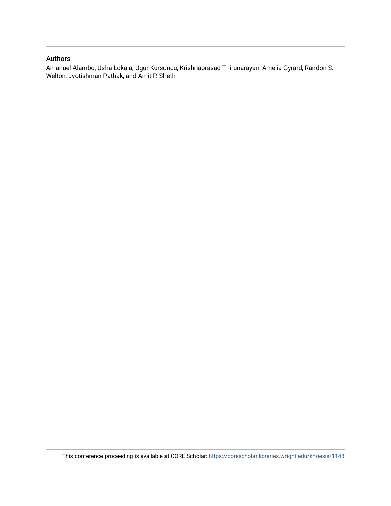# Authors

Amanuel Alambo, Usha Lokala, Ugur Kursuncu, Krishnaprasad Thirunarayan, Amelia Gyrard, Randon S. Welton, Jyotishman Pathak, and Amit P. Sheth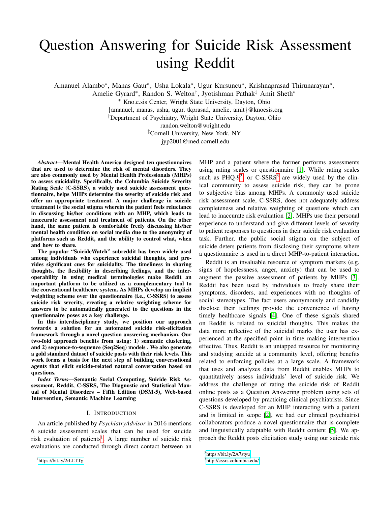# Question Answering for Suicide Risk Assessment using Reddit

Amanuel Alambo\*, Manas Gaur\*, Usha Lokala\*, Ugur Kursuncu\*, Krishnaprasad Thirunarayan\*,

Amelie Gyrard<sup>∗</sup> , Randon S. Welton† , Jyotishman Pathak‡ Amit Sheth<sup>∗</sup>

<sup>∗</sup> Kno.e.sis Center, Wright State University, Dayton, Ohio

{amanuel, manas, usha, ugur, tkprasad, amelie, amit}@knoesis.org

†Department of Psychiatry, Wright State University, Dayton, Ohio

randon.welton@wright.edu

‡Cornell University, New York, NY

jyp2001@med.cornell.edu

*Abstract*—Mental Health America designed ten questionnaires that are used to determine the risk of mental disorders. They are also commonly used by Mental Health Professionals (MHPs) to assess suicidality. Specifically, the Columbia Suicide Severity Rating Scale (C-SSRS), a widely used suicide assessment questionnaire, helps MHPs determine the severity of suicide risk and offer an appropriate treatment. A major challenge in suicide treatment is the social stigma wherein the patient feels reluctance in discussing his/her conditions with an MHP, which leads to inaccurate assessment and treatment of patients. On the other hand, the same patient is comfortable freely discussing his/her mental health condition on social media due to the anonymity of platforms such as Reddit, and the ability to control what, when and how to share.

The popular "SuicideWatch" subreddit has been widely used among individuals who experience suicidal thoughts, and provides significant cues for suicidality. The timeliness in sharing thoughts, the flexibility in describing feelings, and the interoperability in using medical terminologies make Reddit an important platform to be utilized as a complementary tool to the conventional healthcare system. As MHPs develop an implicit weighting scheme over the questionnaire (i.e., C-SSRS) to assess suicide risk severity, creating a relative weighting scheme for answers to be automatically generated to the questions in the questionnaire poses as a key challenge.

In this interdisciplinary study, we position our approach towards a solution for an automated suicide risk-elicitation framework through a novel question answering mechanism. Our two-fold approach benefits from using: 1) semantic clustering, and 2) sequence-to-sequence (Seq2Seq) models . We also generate a gold standard dataset of suicide posts with their risk levels. This work forms a basis for the next step of building conversational agents that elicit suicide-related natural conversation based on questions.

*Index Terms*—Semantic Social Computing, Suicide Risk Assessment, Reddit, C-SSRS, The Diagnostic and Statistical Manual of Mental Disorders – Fifth Edition (DSM-5), Web-based Intervention, Semantic Machine Learning

#### I. INTRODUCTION

An article published by *PsychiatryAdvisor* in 2016 mentions 6 suicide assessment scales that can be used for suicide risk evaluation of patients<sup>[1](#page-2-0)</sup>. A large number of suicide risk evaluations are conducted through direct contact between an

<span id="page-2-0"></span><sup>1</sup><https://bit.ly/2rLLTTg>

MHP and a patient where the former performs assessments using rating scales or questionnaire [\[1\]](#page-7-0). While rating scales such as PHQ-9<sup>[2](#page-2-1)</sup>, or C-SSRS<sup>[3](#page-2-2)</sup> are widely used by the clinical community to assess suicide risk, they can be prone to subjective bias among MHPs. A commonly used suicide risk assessment scale, C-SSRS, does not adequately address completeness and relative weighting of questions which can lead to inaccurate risk evaluation [\[2\]](#page-7-1). MHPs use their personal experience to understand and give different levels of severity to patient responses to questions in their suicide risk evaluation task. Further, the public social stigma on the subject of suicide deters patients from disclosing their symptoms where a questionnaire is used in a direct MHP-to-patient interaction.

Reddit is an invaluable resource of symptom markers (e.g. signs of hopelessness, anger, anxiety) that can be used to augment the passive assessment of patients by MHPs [\[3\]](#page-7-2). Reddit has been used by individuals to freely share their symptoms, disorders, and experiences with no thoughts of social stereotypes. The fact users anonymously and candidly disclose their feelings provide the convenience of having timely healthcare signals [\[4\]](#page-7-3). One of these signals shared on Reddit is related to suicidal thoughts. This makes the data more reflective of the suicidal marks the user has experienced at the specified point in time making intervention effective. Thus, Reddit is an untapped resource for monitoring and studying suicide at a community level, offering benefits related to enforcing policies at a large scale. A framework that uses and analyzes data from Reddit enables MHPs to quantitatively assess individuals' level of suicide risk. We address the challenge of rating the suicide risk of Reddit online posts as a Question Answering problem using sets of questions developed by practicing clinical psychiatrists. Since C-SSRS is developed for an MHP interacting with a patient and is limited in scope [\[2\]](#page-7-1), we had our clinical psychiatrist collaborators produce a novel questionnaire that is complete and linguistically adaptable with Reddit content [\[5\]](#page-7-4). We approach the Reddit posts elicitation study using our suicide risk

<span id="page-2-1"></span><sup>2</sup><https://bit.ly/2A7styu>

<span id="page-2-2"></span><sup>3</sup><http://cssrs.columbia.edu/>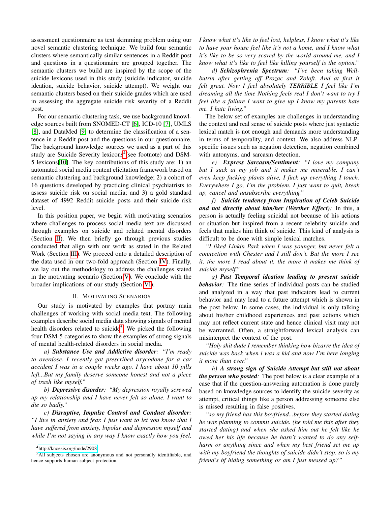assessment questionnaire as text skimming problem using our novel semantic clustering technique. We build four semantic clusters where semantically similar sentences in a Reddit post and questions in a questionnaire are grouped together. The semantic clusters we build are inspired by the scope of the suicide lexicons used in this study (suicide indicator, suicide ideation, suicide behavior, suicide attempt). We weight our semantic clusters based on their suicide grades which are used in assessing the aggregate suicide risk severity of a Reddit post.

For our semantic clustering task, we use background knowledge sources built from SNOMED-CT [\[6\]](#page-7-5), ICD-10 [\[7\]](#page-7-6), UMLS [\[8\]](#page-7-7), and DataMed [\[9\]](#page-7-8) to determine the classification of a sentence in a Reddit post and the questions in our questionnaire. The background knowledge sources we used as a part of this study are Suicide Severity lexicons<sup>[4](#page-3-0)</sup> (see footnote) and DSM-5 lexicons[\[10\]](#page-7-9). The key contributions of this study are: 1) an automated social media content elicitation framework based on semantic clustering and background knowledge; 2) a cohort of 16 questions developed by practicing clinical psychiatrists to assess suicide risk on social media; and 3) a gold standard dataset of 4992 Reddit suicide posts and their suicide risk level.

In this position paper, we begin with motivating scenarios where challenges to process social media text are discussed through examples on suicide and related mental disorders (Section [II\)](#page-3-1). We then briefly go through previous studies conducted that align with our work as stated in the Related Work (Section [III\)](#page-4-0). We proceed onto a detailed description of the data used in our two-fold approach (Section [IV\)](#page-4-1). Finally, we lay out the methodology to address the challenges stated in the motivating scenario (Section [V\)](#page-4-2). We conclude with the broader implications of our study (Section [VI\)](#page-7-10).

# II. MOTIVATING SCENARIOS

<span id="page-3-1"></span>Our study is motivated by examples that portray main challenges of working with social media text. The following examples describe social media data showing signals of mental health disorders related to suicide<sup>[5](#page-3-2)</sup>. We picked the following four DSM-5 categories to show the examples of strong signals of mental health-related disorders in social media.

*a) Substance Use and Addictive disorder: "I'm ready to overdose. I recently got prescribed oxycodone for a car accident I was in a couple weeks ago. I have about 10 pills left...But my family deserve someone honest and not a piece of trash like myself."*

*b) Depressive disorder: "My depression royally screwed up my relationship and I have never felt so alone. I want to die so badly."*

*c) Disruptive, Impulse Control and Conduct disorder: "I live in anxiety and fear. I just want to let you know that I have suffered from anxiety, bipolar and depression myself and while I'm not saying in any way I know exactly how you feel,*

<span id="page-3-2"></span><span id="page-3-0"></span><sup>4</sup><http://knoesis.org/node/2908>

<sup>5</sup>All subjects chosen are anonymous and not personally identifiable, and hence supports human subject protection.

*I know what it's like to feel lost, helpless, I know what it's like to have your house feel like it's not a home, and I know what it's like to be so very scared by the world around me, and I know what it's like to feel like killing yourself is the option."*

*d) Schizophrenia Spectrum: "I've been taking Wellbutrin after getting off Prozac and Zoloft. And at first it felt great. Now I feel absolutely TERRIBLE I feel like I'm dreaming all the time Nothing feels real I don't want to try I feel like a failure I want to give up I know my parents hate me. I hate living."*

The below set of examples are challenges in understanding the context and real sense of suicide posts where just syntactic lexical match is not enough and demands more understanding in terms of temporality, and context. We also address NLPspecific issues such as negation detection, negation combined with antonyms, and sarcasm detection.

*e) Express Sarcasm/Sentiment: "I love my company but I suck at my job and it makes me miserable. I can't even keep fucking plants alive, I fuck up everything I touch. Everywhere I go, I'm the problem. I just want to quit, break up, cancel and unsubscribe everything."*

*f) Suicide tendency from Inspiration of Celeb Suicide and not directly about him/her (Werther Effect):* In this, a person is actually feeling suicidal not because of his actions or situation but inspired from a recent celebrity suicide and feels that makes him think of suicide. This kind of analysis is difficult to be done with simple lexical matches.

*"I liked Linkin Park when I was younger, but never felt a connection with Chester and I still don't. But the more I see it, the more I read about it, the more it makes me think of suicide myself."*

*g) Past Temporal ideation leading to present suicide behavior:* The time series of individual posts can be studied and analyzed in a way that past indicators lead to current behavior and may lead to a future attempt which is shown in the post below. In some cases, the individual is only talking about his/her childhood experiences and past actions which may not reflect current state and hence clinical visit may not be warranted. Often, a straightforward lexical analysis can misinterpret the context of the post.

*"Holy shit dude I remember thinking how bizarre the idea of suicide was back when i was a kid and now I'm here longing it more than ever."*

*h) A strong sign of Suicide Attempt but still not about the person who posted:* The post below is a clear example of a case that if the question-answering automation is done purely based on knowledge sources to identify the suicide severity as attempt, critical things like a person addressing someone else is missed resulting in false positives.

*"so my friend has this boyfriend...before they started dating he was planning to commit suicide. (he told me this after they started dating) and when she asked him out he felt like he owed her his life because he hasn't wanted to do any selfharm or anything since and when my best friend set me up with my boyfriend the thoughts of suicide didn't stop. so is my friend's bf hiding something or am I just messed up?"*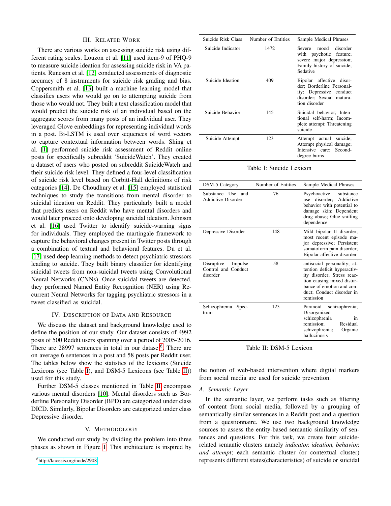#### III. RELATED WORK

<span id="page-4-0"></span>There are various works on assessing suicide risk using different rating scales. Louzon et al. [\[11\]](#page-7-11) used item-9 of PHQ-9 to measure suicide ideation for assessing suicide risk in VA patients. Runeson et al. [\[12\]](#page-7-12) conducted assessments of diagnostic accuracy of 8 instruments for suicide risk grading and bias. Coppersmith et al. [\[13\]](#page-7-13) built a machine learning model that classifies users who would go on to attempting suicide from those who would not. They built a text classification model that would predict the suicide risk of an individual based on the aggregate scores from many posts of an individual user. They leveraged Glove embeddings for representing individual words in a post. Bi-LSTM is used over sequences of word vectors to capture contextual information between words. Shing et al. [\[1\]](#page-7-0) performed suicide risk assessment of Reddit online posts for specifically subreddit 'SuicideWatch'. They created a dataset of users who posted on subreddit SuicideWatch and their suicide risk level. They defined a four-level classification of suicide risk level based on Corbitt-Hall definitions of risk categories [\[14\]](#page-7-14). De Choudhury et al. [\[15\]](#page-7-15) employed statistical techniques to study the transitions from mental disorder to suicidal ideation on Reddit. They particularly built a model that predicts users on Reddit who have mental disorders and would later proceed onto developing suicidal ideation. Johnson et al. [\[16\]](#page-7-16) used Twitter to identify suicide-warning signs for individuals. They employed the martingale framework to capture the behavioral changes present in Twitter posts through a combination of textual and behavioral features. Du et al. [\[17\]](#page-7-17) used deep learning methods to detect psychiatric stressors leading to suicide. They built binary classifier for identifying suicidal tweets from non-suicidal tweets using Convolutional Neural Networks (CNNs). Once suicidal tweets are detected, they performed Named Entity Recognition (NER) using Recurrent Neural Networks for tagging psychiatric stressors in a tweet classified as suicidal.

## IV. DESCRIPTION OF DATA AND RESOURCE

<span id="page-4-1"></span>We discuss the dataset and background knowledge used to define the position of our study. Our dataset consists of 4992 posts of 500 Reddit users spanning over a period of 2005-2016. There are 28997 sentences in total in our dataset<sup>[6](#page-4-3)</sup>. There are on average 6 sentences in a post and 58 posts per Reddit user. The tables below show the statistics of the lexicons (Suicide Lexicons (see Table [I\)](#page-4-4), and DSM-5 Lexicons (see Table [II\)](#page-4-5)) used for this study.

Further DSM-5 classes mentioned in Table [II](#page-4-5) encompass various mental disorders [\[10\]](#page-7-9). Mental disorders such as Borderline Personality Disorder (BPD) are categorized under class DICD. Similarly, Bipolar Disorders are categorized under class Depressive disorder.

# V. METHODOLOGY

<span id="page-4-3"></span><span id="page-4-2"></span>We conducted our study by dividing the problem into three phases as shown in Figure [1.](#page-5-0) This architecture is inspired by

<span id="page-4-4"></span>

| Suicide Risk Class | Number of Entities | Sample Medical Phrases                                                                                                        |  |
|--------------------|--------------------|-------------------------------------------------------------------------------------------------------------------------------|--|
| Suicide Indicator  | 1472               | mood disorder<br>Severe<br>with psychotic feature;<br>severe major depression;<br>Family history of suicide;<br>Sedative      |  |
| Suicide Ideation   | 409                | Bipolar affective disor-<br>der: Borderline Personal-<br>ity; Depressive conduct<br>disorder; Sexual matura-<br>tion disorder |  |
| Suicide Behavior   | 145                | Suicidal behavior; Inten-<br>tional self-harm; Incom-<br>plete attempt; Threatening<br>suicide                                |  |
| Suicide Attempt    | 123                | Attempt actual<br>suicide:<br>Attempt physical damage;<br>Intensive care; Second-<br>degree burns                             |  |

Table I: Suicide Lexicon

<span id="page-4-5"></span>

| <b>DSM-5 Category</b>                                    | Number of Entities | Sample Medical Phrases                                                                                                                                                                        |  |
|----------------------------------------------------------|--------------------|-----------------------------------------------------------------------------------------------------------------------------------------------------------------------------------------------|--|
| Substance Use and<br><b>Addictive Disorder</b>           | 76                 | Psychoactive<br>substance<br>disorder;<br>Addictive<br>use<br>behavior with potential to<br>damage skin; Dependent<br>drug abuse; Glue sniffing<br>dependence                                 |  |
| Depressive Disorder                                      | 148                | Mild bipolar II disorder;<br>most recent episode ma-<br>jor depressive; Persistent<br>somatoform pain disorder;<br>Bipolar affective disorder                                                 |  |
| Disruptive<br>Impulse<br>Control and Conduct<br>disorder | 58                 | antisocial personality; at-<br>tention deficit hyperactiv-<br>ity disorder; Stress reac-<br>tion causing mixed distur-<br>bance of emotion and con-<br>duct; Conduct disorder in<br>remission |  |
| Schizophrenia<br>Spec-<br>trum                           | 125                | Paranoid<br>schizophrenia;<br>Disorganized<br>schizophrenia<br>in<br>remission;<br>Residual<br>schizophrenia;<br>Organic<br>hallucinosis                                                      |  |

Table II: DSM-5 Lexicon

the notion of web-based intervention where digital markers from social media are used for suicide prevention.

# *A. Semantic Layer*

In the semantic layer, we perform tasks such as filtering of content from social media, followed by a grouping of semantically similar sentences in a Reddit post and a question from a questionnaire. We use two background knowledge sources to assess the entity-based semantic similarity of sentences and questions. For this task, we create four suiciderelated semantic clusters namely *indicator, ideation, behavior, and attempt*; each semantic cluster (or contextual cluster) represents different states(characteristics) of suicide or suicidal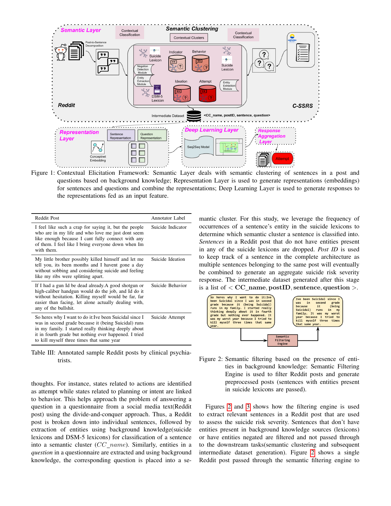<span id="page-5-0"></span>

Figure 1: Contextual Elicitation Framework: Semantic Layer deals with semantic clustering of sentences in a post and questions based on background knowledge; Representation Layer is used to generate representations (embeddings) for sentences and questions and combine the representations; Deep Learning Layer is used to generate responses to the representations fed as an input feature.

| Reddit Post                                                                                                                                                                                                                                                                   | Annotator Label   |
|-------------------------------------------------------------------------------------------------------------------------------------------------------------------------------------------------------------------------------------------------------------------------------|-------------------|
| I feel like such a crap for saying it, but the people<br>who are in my life and who love me just dont seem<br>like enough because I cant fully connect with any<br>of them. I feel like I bring everyone down when Im<br>with them.                                           | Suicide Indicator |
| My little brother possibly killed himself and let me<br>tell you, its been months and I havent gone a day<br>without sobbing and considering suicide and feeling<br>like my ribs were splitting apart.                                                                        | Suicide Ideation  |
| If I had a gun Id be dead already. A good shotgun or<br>high-caliber handgun would do the job, and Id do it<br>without hesitation. Killing myself would be far, far<br>easier than facing, let alone actually dealing with,<br>any of the bullshit.                           | Suicide Behavior  |
| So heres why I want to do it: Ive been Suicidal since I<br>was in second grade because it (being Suicidal) runs<br>in my family. I started really thinking deeply about<br>it in fourth grade but nothing ever happened. I tried<br>to kill myself three times that same year | Suicide Attempt   |

Table III: Annotated sample Reddit posts by clinical psychiatrists.

thoughts. For instance, states related to actions are identified as attempt while states related to planning or intent are linked to behavior. This helps approach the problem of answering a question in a questionnaire from a social media text(Reddit post) using the divide-and-conquer approach. Thus, a Reddit post is broken down into individual sentences, followed by extraction of entities using background knowledge(suicide lexicons and DSM-5 lexicons) for classification of a sentence into a semantic cluster  $(CC\_name)$ . Similarly, entities in a *question* in a questionnaire are extracted and using background knowledge, the corresponding question is placed into a semantic cluster. For this study, we leverage the frequency of occurrences of a sentence's entity in the suicide lexicons to determine which semantic cluster a sentence is classified into. *Sentences* in a Reddit post that do not have entities present in any of the suicide lexicons are dropped. *Post ID* is used to keep track of a sentence in the complete architecture as multiple sentences belonging to the same post will eventually be combined to generate an aggregate suicide risk severity response. The intermediate dataset generated after this stage is a list of  $<$  CC\_name, postID, sentence, question  $>$ .

<span id="page-5-1"></span>

Figure 2: Semantic filtering based on the presence of entities in background knowledge: Semantic Filtering Engine is used to filter Reddit posts and generate preprocessed posts (sentences with entities present in suicide lexicons are passed).

Figures [2](#page-5-1) and [3](#page-6-0) shows how the filtering engine is used to extract relevant sentences in a Reddit post that are used to assess the suicide risk severity. Sentences that don't have entities present in background knowledge sources (lexicons) or have entities negated are filtered and not passed through to the downstream tasks(semantic clustering and subsequent intermediate dataset generation). Figure [2](#page-5-1) shows a single Reddit post passed through the semantic filtering engine to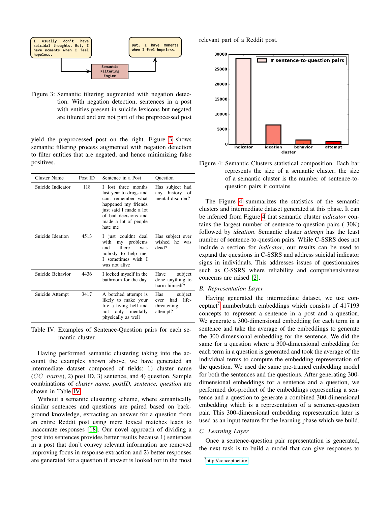<span id="page-6-0"></span>

Figure 3: Semantic filtering augmented with negation detection: With negation detection, sentences in a post with entities present in suicide lexicons but negated are filtered and are not part of the preprocessed post

yield the preprocessed post on the right. Figure [3](#page-6-0) shows semantic filtering process augmented with negation detection to filter entities that are negated; and hence minimizing false positives.

<span id="page-6-1"></span>

| Cluster Name      | Post ID | Sentence in a Post                                                                                                                                                              | <b>Ouestion</b>                                                   |
|-------------------|---------|---------------------------------------------------------------------------------------------------------------------------------------------------------------------------------|-------------------------------------------------------------------|
| Suicide Indicator | 118     | I lost three months<br>last year to drugs and<br>cant remember what<br>happened my friends<br>just said I made a lot<br>of bad decisions and<br>made a lot of people<br>hate me | Has subject had<br>history of<br>any<br>mental disorder?          |
| Suicide Ideation  | 4513    | I just couldnt deal<br>with<br>my problems<br>and<br>there<br>was<br>nobody to help me,<br>I sometimes wish I<br>was not alive                                                  | Has subject ever<br>wished he<br>was<br>dead?                     |
| Suicide Behavior  | 4436    | I locked myself in the<br>bathroom for the day                                                                                                                                  | subject<br>Have<br>done anything to<br>harm himself?              |
| Suicide Attempt   | 3417    | A botched attempt is<br>likely to make your<br>life a living hell and<br>only<br>mentally<br>not<br>physically as well                                                          | subject<br>Has<br>life-<br>had<br>ever<br>threatening<br>attempt? |

Table IV: Examples of Sentence-Question pairs for each semantic cluster.

Having performed semantic clustering taking into the account the examples shown above, we have generated an intermediate dataset composed of fields: 1) cluster name  $(CC_name)$ , 2) post ID, 3) sentence, and 4) question. Sample combinations of *cluster name, postID, sentence, question* are shown in Table [IV.](#page-6-1)

Without a semantic clustering scheme, where semantically similar sentences and questions are paired based on background knowledge, extracting an answer for a question from an entire Reddit post using mere lexical matches leads to inaccurate responses [\[18\]](#page-7-18). Our novel approach of dividing a post into sentences provides better results because 1) sentences in a post that don't convey relevant information are removed improving focus in response extraction and 2) better responses are generated for a question if answer is looked for in the most relevant part of a Reddit post.

<span id="page-6-2"></span>

Figure 4: Semantic Clusters statistical composition: Each bar represents the size of a semantic cluster; the size of a semantic cluster is the number of sentence-toquestion pairs it contains

The Figure [4](#page-6-2) summarizes the statistics of the semantic clusters and intermediate dataset generated at this phase. It can be inferred from Figure [4](#page-6-2) that semantic cluster *indicator* contains the largest number of sentence-to-question pairs ( 30K) followed by *ideation*. Semantic cluster *attempt* has the least number of sentence-to-question pairs. While C-SSRS does not include a section for *indicator*, our results can be used to expand the questions in C-SSRS and address suicidal indicator signs in individuals. This addresses issues of questionnaires such as C-SSRS where reliability and comprehensiveness concerns are raised [\[2\]](#page-7-1).

# *B. Representation Layer*

Having generated the intermediate dataset, we use conceptnet $7$  numberbatch embeddings which consists of 417193 concepts to represent a sentence in a post and a question. We generate a 300-dimensional embedding for each term in a sentence and take the average of the embeddings to generate the 300-dimensional embedding for the sentence. We did the same for a question where a 300-dimensional embedding for each term in a question is generated and took the average of the individual terms to compute the embedding representation of the question. We used the same pre-trained embedding model for both the sentences and the questions. After generating 300 dimensional embeddings for a sentence and a question, we performed dot-product of the embeddings representing a sentence and a question to generate a combined 300-dimensional embedding which is a representation of a sentence-question pair. This 300-dimensional embedding representation later is used as an input feature for the learning phase which we build.

#### *C. Learning Layer*

Once a sentence-question pair representation is generated, the next task is to build a model that can give responses to

#### <span id="page-6-3"></span><sup>7</sup><http://conceptnet.io/>